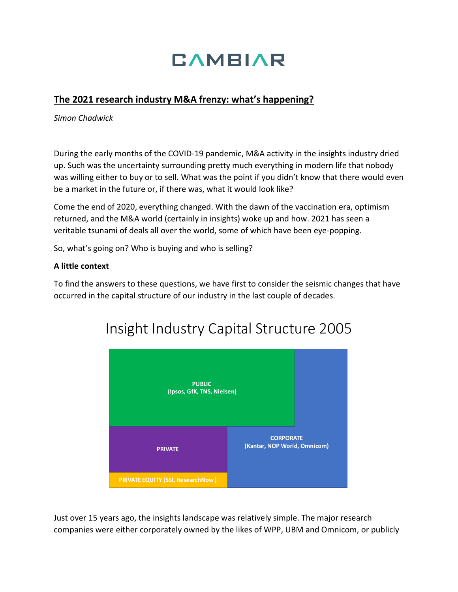# **CAMBIAR**

### **The 2021 research industry M&A frenzy: what's happening?**

*Simon Chadwick*

During the early months of the COVID-19 pandemic, M&A activity in the insights industry dried up. Such was the uncertainty surrounding pretty much everything in modern life that nobody was willing either to buy or to sell. What was the point if you didn't know that there would even be a market in the future or, if there was, what it would look like?

Come the end of 2020, everything changed. With the dawn of the vaccination era, optimism returned, and the M&A world (certainly in insights) woke up and how. 2021 has seen a veritable tsunami of deals all over the world, some of which have been eye-popping.

So, what's going on? Who is buying and who is selling?

#### **A little context**

To find the answers to these questions, we have first to consider the seismic changes that have occurred in the capital structure of our industry in the last couple of decades.



## Insight Industry Capital Structure 2005

Just over 15 years ago, the insights landscape was relatively simple. The major research companies were either corporately owned by the likes of WPP, UBM and Omnicom, or publicly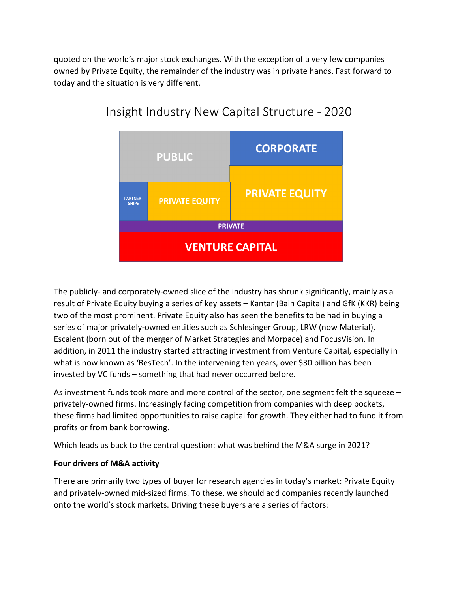quoted on the world's major stock exchanges. With the exception of a very few companies owned by Private Equity, the remainder of the industry was in private hands. Fast forward to today and the situation is very different.



### Insight Industry New Capital Structure - 2020

The publicly- and corporately-owned slice of the industry has shrunk significantly, mainly as a result of Private Equity buying a series of key assets – Kantar (Bain Capital) and GfK (KKR) being two of the most prominent. Private Equity also has seen the benefits to be had in buying a series of major privately-owned entities such as Schlesinger Group, LRW (now Material), Escalent (born out of the merger of Market Strategies and Morpace) and FocusVision. In addition, in 2011 the industry started attracting investment from Venture Capital, especially in what is now known as 'ResTech'. In the intervening ten years, over \$30 billion has been invested by VC funds – something that had never occurred before.

As investment funds took more and more control of the sector, one segment felt the squeeze – privately-owned firms. Increasingly facing competition from companies with deep pockets, these firms had limited opportunities to raise capital for growth. They either had to fund it from profits or from bank borrowing.

Which leads us back to the central question: what was behind the M&A surge in 2021?

### **Four drivers of M&A activity**

There are primarily two types of buyer for research agencies in today's market: Private Equity and privately-owned mid-sized firms. To these, we should add companies recently launched onto the world's stock markets. Driving these buyers are a series of factors: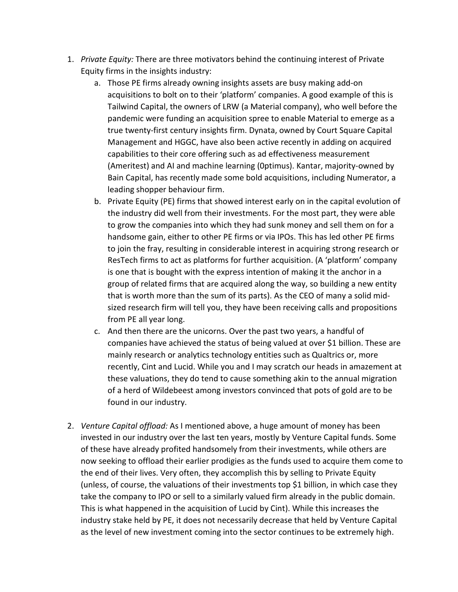- 1. *Private Equity:* There are three motivators behind the continuing interest of Private Equity firms in the insights industry:
	- a. Those PE firms already owning insights assets are busy making add-on acquisitions to bolt on to their 'platform' companies. A good example of this is Tailwind Capital, the owners of LRW (a Material company), who well before the pandemic were funding an acquisition spree to enable Material to emerge as a true twenty-first century insights firm. Dynata, owned by Court Square Capital Management and HGGC, have also been active recently in adding on acquired capabilities to their core offering such as ad effectiveness measurement (Ameritest) and AI and machine learning (0ptimus). Kantar, majority-owned by Bain Capital, has recently made some bold acquisitions, including Numerator, a leading shopper behaviour firm.
	- b. Private Equity (PE) firms that showed interest early on in the capital evolution of the industry did well from their investments. For the most part, they were able to grow the companies into which they had sunk money and sell them on for a handsome gain, either to other PE firms or via IPOs. This has led other PE firms to join the fray, resulting in considerable interest in acquiring strong research or ResTech firms to act as platforms for further acquisition. (A 'platform' company is one that is bought with the express intention of making it the anchor in a group of related firms that are acquired along the way, so building a new entity that is worth more than the sum of its parts). As the CEO of many a solid midsized research firm will tell you, they have been receiving calls and propositions from PE all year long.
	- c. And then there are the unicorns. Over the past two years, a handful of companies have achieved the status of being valued at over \$1 billion. These are mainly research or analytics technology entities such as Qualtrics or, more recently, Cint and Lucid. While you and I may scratch our heads in amazement at these valuations, they do tend to cause something akin to the annual migration of a herd of Wildebeest among investors convinced that pots of gold are to be found in our industry.
- 2. *Venture Capital offload:* As I mentioned above, a huge amount of money has been invested in our industry over the last ten years, mostly by Venture Capital funds. Some of these have already profited handsomely from their investments, while others are now seeking to offload their earlier prodigies as the funds used to acquire them come to the end of their lives. Very often, they accomplish this by selling to Private Equity (unless, of course, the valuations of their investments top \$1 billion, in which case they take the company to IPO or sell to a similarly valued firm already in the public domain. This is what happened in the acquisition of Lucid by Cint). While this increases the industry stake held by PE, it does not necessarily decrease that held by Venture Capital as the level of new investment coming into the sector continues to be extremely high.